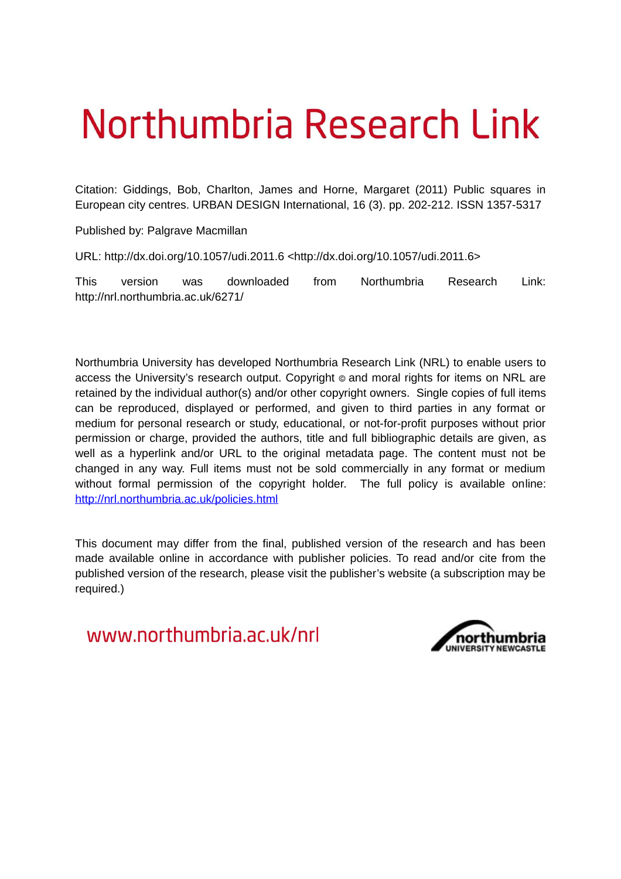# Northumbria Research Link

Citation: Giddings, Bob, Charlton, James and Horne, Margaret (2011) Public squares in European city centres. URBAN DESIGN International, 16 (3). pp. 202-212. ISSN 1357-5317

Published by: Palgrave Macmillan

URL: http://dx.doi.org/10.1057/udi.2011.6 <http://dx.doi.org/10.1057/udi.2011.6>

This version was downloaded from Northumbria Research Link: http://nrl.northumbria.ac.uk/6271/

Northumbria University has developed Northumbria Research Link (NRL) to enable users to access the University's research output. Copyright © and moral rights for items on NRL are retained by the individual author(s) and/or other copyright owners. Single copies of full items can be reproduced, displayed or performed, and given to third parties in any format or medium for personal research or study, educational, or not-for-profit purposes without prior permission or charge, provided the authors, title and full bibliographic details are given, as well as a hyperlink and/or URL to the original metadata page. The content must not be changed in any way. Full items must not be sold commercially in any format or medium without formal permission of the copyright holder. The full policy is available online: <http://nrl.northumbria.ac.uk/policies.html>

This document may differ from the final, published version of the research and has been made available online in accordance with publisher policies. To read and/or cite from the published version of the research, please visit the publisher's website (a subscription may be required.)

www.northumbria.ac.uk/nrl

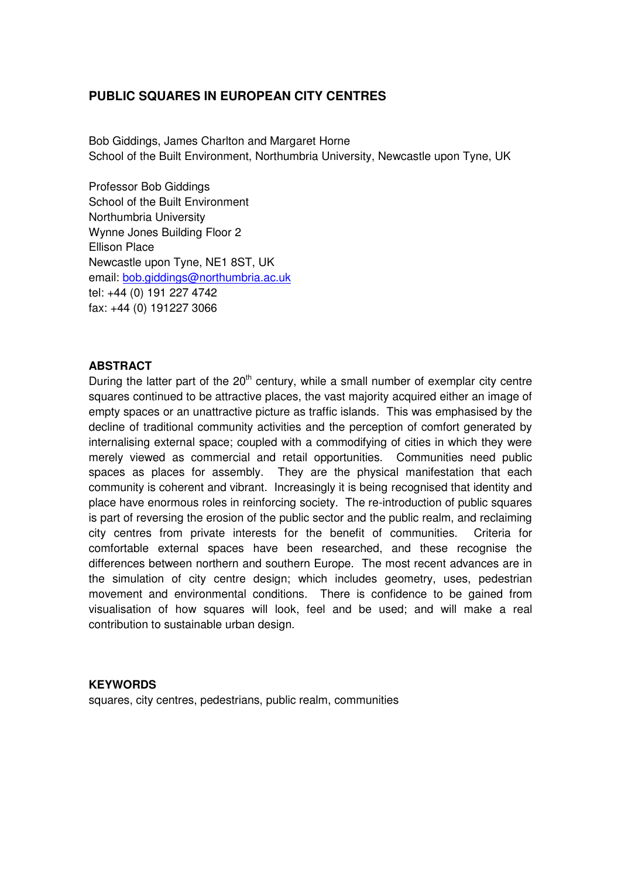# **PUBLIC SQUARES IN EUROPEAN CITY CENTRES**

Bob Giddings, James Charlton and Margaret Horne School of the Built Environment, Northumbria University, Newcastle upon Tyne, UK

Professor Bob Giddings School of the Built Environment Northumbria University Wynne Jones Building Floor 2 Ellison Place Newcastle upon Tyne, NE1 8ST, UK email: [bob.giddings@northumbria.ac.uk](mailto:bob.giddings@northumbria.ac.uk) tel: +44 (0) 191 227 4742 fax: +44 (0) 191227 3066

### **ABSTRACT**

During the latter part of the  $20<sup>th</sup>$  century, while a small number of exemplar city centre squares continued to be attractive places, the vast majority acquired either an image of empty spaces or an unattractive picture as traffic islands. This was emphasised by the decline of traditional community activities and the perception of comfort generated by internalising external space; coupled with a commodifying of cities in which they were merely viewed as commercial and retail opportunities. Communities need public spaces as places for assembly. They are the physical manifestation that each community is coherent and vibrant. Increasingly it is being recognised that identity and place have enormous roles in reinforcing society. The re-introduction of public squares is part of reversing the erosion of the public sector and the public realm, and reclaiming city centres from private interests for the benefit of communities. Criteria for comfortable external spaces have been researched, and these recognise the differences between northern and southern Europe. The most recent advances are in the simulation of city centre design; which includes geometry, uses, pedestrian movement and environmental conditions. There is confidence to be gained from visualisation of how squares will look, feel and be used; and will make a real contribution to sustainable urban design.

# **KEYWORDS**

squares, city centres, pedestrians, public realm, communities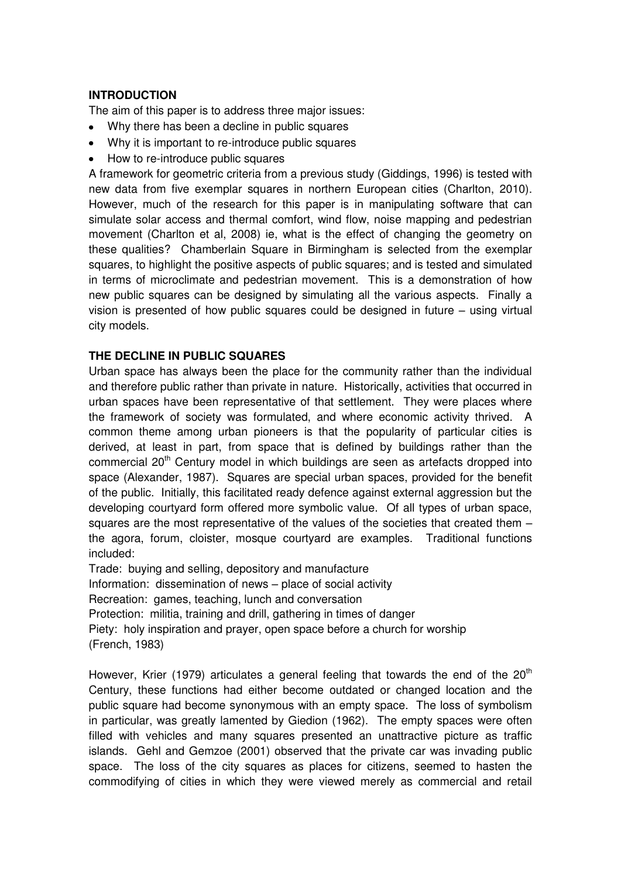# **INTRODUCTION**

The aim of this paper is to address three major issues:

- Why there has been a decline in public squares
- Why it is important to re-introduce public squares
- How to re-introduce public squares

A framework for geometric criteria from a previous study (Giddings, 1996) is tested with new data from five exemplar squares in northern European cities (Charlton, 2010). However, much of the research for this paper is in manipulating software that can simulate solar access and thermal comfort, wind flow, noise mapping and pedestrian movement (Charlton et al, 2008) ie, what is the effect of changing the geometry on these qualities? Chamberlain Square in Birmingham is selected from the exemplar squares, to highlight the positive aspects of public squares; and is tested and simulated in terms of microclimate and pedestrian movement. This is a demonstration of how new public squares can be designed by simulating all the various aspects. Finally a vision is presented of how public squares could be designed in future – using virtual city models.

# **THE DECLINE IN PUBLIC SQUARES**

Urban space has always been the place for the community rather than the individual and therefore public rather than private in nature. Historically, activities that occurred in urban spaces have been representative of that settlement. They were places where the framework of society was formulated, and where economic activity thrived. A common theme among urban pioneers is that the popularity of particular cities is derived, at least in part, from space that is defined by buildings rather than the commercial 20<sup>th</sup> Century model in which buildings are seen as artefacts dropped into space (Alexander, 1987). Squares are special urban spaces, provided for the benefit of the public. Initially, this facilitated ready defence against external aggression but the developing courtyard form offered more symbolic value. Of all types of urban space, squares are the most representative of the values of the societies that created them – the agora, forum, cloister, mosque courtyard are examples. Traditional functions included:

Trade: buying and selling, depository and manufacture Information: dissemination of news – place of social activity Recreation: games, teaching, lunch and conversation Protection: militia, training and drill, gathering in times of danger Piety: holy inspiration and prayer, open space before a church for worship (French, 1983)

However, Krier (1979) articulates a general feeling that towards the end of the  $20<sup>th</sup>$ Century, these functions had either become outdated or changed location and the public square had become synonymous with an empty space. The loss of symbolism in particular, was greatly lamented by Giedion (1962). The empty spaces were often filled with vehicles and many squares presented an unattractive picture as traffic islands. Gehl and Gemzoe (2001) observed that the private car was invading public space. The loss of the city squares as places for citizens, seemed to hasten the commodifying of cities in which they were viewed merely as commercial and retail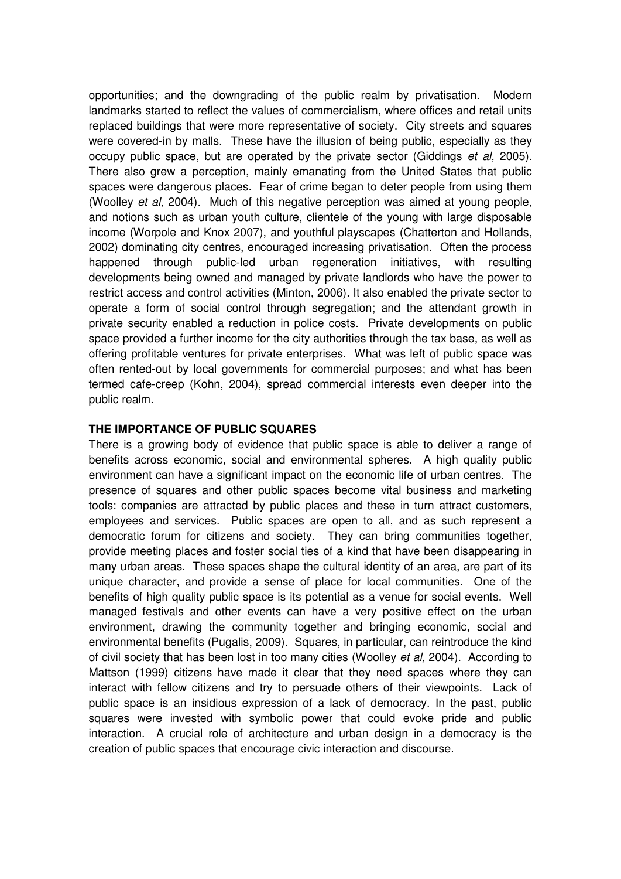opportunities; and the downgrading of the public realm by privatisation. Modern landmarks started to reflect the values of commercialism, where offices and retail units replaced buildings that were more representative of society. City streets and squares were covered-in by malls. These have the illusion of being public, especially as they occupy public space, but are operated by the private sector (Giddings *et al,* 2005). There also grew a perception, mainly emanating from the United States that public spaces were dangerous places. Fear of crime began to deter people from using them (Woolley *et al,* 2004). Much of this negative perception was aimed at young people, and notions such as urban youth culture, clientele of the young with large disposable income (Worpole and Knox 2007), and youthful playscapes (Chatterton and Hollands, 2002) dominating city centres, encouraged increasing privatisation. Often the process happened through public-led urban regeneration initiatives, with resulting developments being owned and managed by private landlords who have the power to restrict access and control activities (Minton, 2006). It also enabled the private sector to operate a form of social control through segregation; and the attendant growth in private security enabled a reduction in police costs. Private developments on public space provided a further income for the city authorities through the tax base, as well as offering profitable ventures for private enterprises. What was left of public space was often rented-out by local governments for commercial purposes; and what has been termed cafe-creep (Kohn, 2004), spread commercial interests even deeper into the public realm.

# **THE IMPORTANCE OF PUBLIC SQUARES**

There is a growing body of evidence that public space is able to deliver a range of benefits across economic, social and environmental spheres. A high quality public environment can have a significant impact on the economic life of urban centres. The presence of squares and other public spaces become vital business and marketing tools: companies are attracted by public places and these in turn attract customers, employees and services. Public spaces are open to all, and as such represent a democratic forum for citizens and society. They can bring communities together, provide meeting places and foster social ties of a kind that have been disappearing in many urban areas. These spaces shape the cultural identity of an area, are part of its unique character, and provide a sense of place for local communities. One of the benefits of high quality public space is its potential as a venue for social events. Well managed festivals and other events can have a very positive effect on the urban environment, drawing the community together and bringing economic, social and environmental benefits (Pugalis, 2009). Squares, in particular, can reintroduce the kind of civil society that has been lost in too many cities (Woolley *et al,* 2004). According to Mattson (1999) citizens have made it clear that they need spaces where they can interact with fellow citizens and try to persuade others of their viewpoints. Lack of public space is an insidious expression of a lack of democracy. In the past, public squares were invested with symbolic power that could evoke pride and public interaction. A crucial role of architecture and urban design in a democracy is the creation of public spaces that encourage civic interaction and discourse.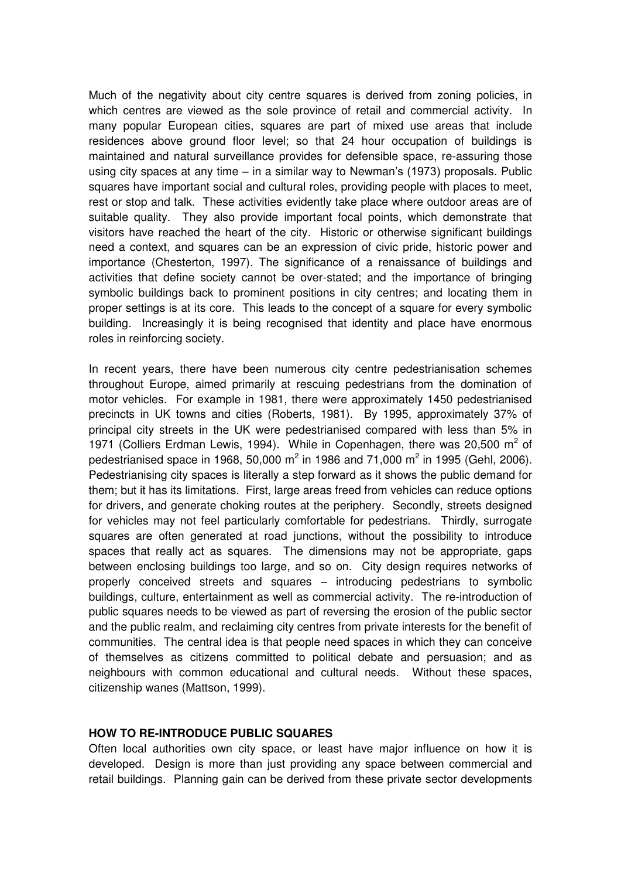Much of the negativity about city centre squares is derived from zoning policies, in which centres are viewed as the sole province of retail and commercial activity. In many popular European cities, squares are part of mixed use areas that include residences above ground floor level; so that 24 hour occupation of buildings is maintained and natural surveillance provides for defensible space, re-assuring those using city spaces at any time – in a similar way to Newman's (1973) proposals. Public squares have important social and cultural roles, providing people with places to meet, rest or stop and talk. These activities evidently take place where outdoor areas are of suitable quality. They also provide important focal points, which demonstrate that visitors have reached the heart of the city. Historic or otherwise significant buildings need a context, and squares can be an expression of civic pride, historic power and importance (Chesterton, 1997). The significance of a renaissance of buildings and activities that define society cannot be over-stated; and the importance of bringing symbolic buildings back to prominent positions in city centres; and locating them in proper settings is at its core. This leads to the concept of a square for every symbolic building. Increasingly it is being recognised that identity and place have enormous roles in reinforcing society.

In recent years, there have been numerous city centre pedestrianisation schemes throughout Europe, aimed primarily at rescuing pedestrians from the domination of motor vehicles. For example in 1981, there were approximately 1450 pedestrianised precincts in UK towns and cities (Roberts, 1981). By 1995, approximately 37% of principal city streets in the UK were pedestrianised compared with less than 5% in 1971 (Colliers Erdman Lewis, 1994). While in Copenhagen, there was 20,500  $m^2$  of pedestrianised space in 1968, 50,000 m<sup>2</sup> in 1986 and 71,000 m<sup>2</sup> in 1995 (Gehl, 2006). Pedestrianising city spaces is literally a step forward as it shows the public demand for them; but it has its limitations. First, large areas freed from vehicles can reduce options for drivers, and generate choking routes at the periphery. Secondly, streets designed for vehicles may not feel particularly comfortable for pedestrians. Thirdly, surrogate squares are often generated at road junctions, without the possibility to introduce spaces that really act as squares. The dimensions may not be appropriate, gaps between enclosing buildings too large, and so on. City design requires networks of properly conceived streets and squares – introducing pedestrians to symbolic buildings, culture, entertainment as well as commercial activity. The re-introduction of public squares needs to be viewed as part of reversing the erosion of the public sector and the public realm, and reclaiming city centres from private interests for the benefit of communities. The central idea is that people need spaces in which they can conceive of themselves as citizens committed to political debate and persuasion; and as neighbours with common educational and cultural needs. Without these spaces, citizenship wanes (Mattson, 1999).

### **HOW TO RE-INTRODUCE PUBLIC SQUARES**

Often local authorities own city space, or least have major influence on how it is developed. Design is more than just providing any space between commercial and retail buildings. Planning gain can be derived from these private sector developments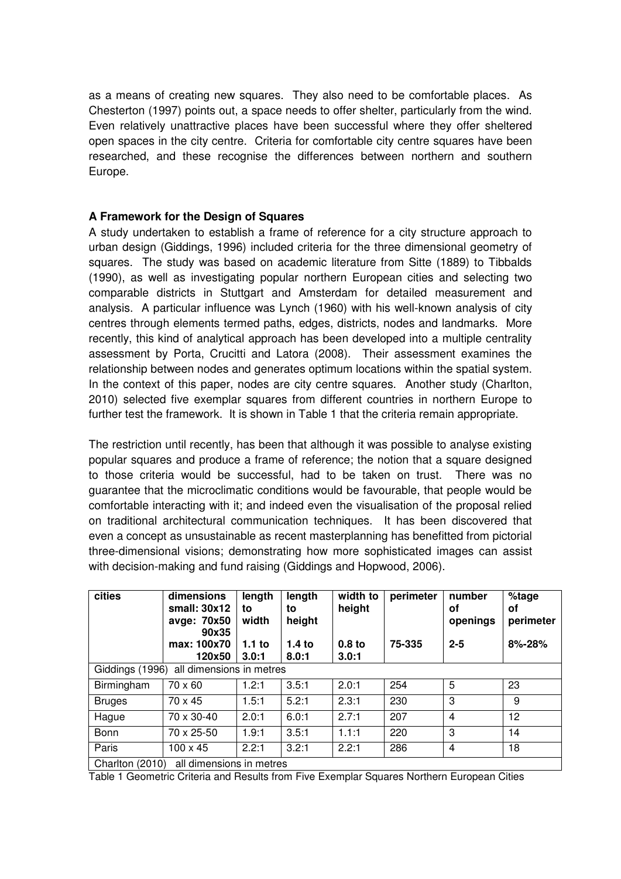as a means of creating new squares. They also need to be comfortable places. As Chesterton (1997) points out, a space needs to offer shelter, particularly from the wind. Even relatively unattractive places have been successful where they offer sheltered open spaces in the city centre. Criteria for comfortable city centre squares have been researched, and these recognise the differences between northern and southern Europe.

# **A Framework for the Design of Squares**

A study undertaken to establish a frame of reference for a city structure approach to urban design (Giddings, 1996) included criteria for the three dimensional geometry of squares. The study was based on academic literature from Sitte (1889) to Tibbalds (1990), as well as investigating popular northern European cities and selecting two comparable districts in Stuttgart and Amsterdam for detailed measurement and analysis. A particular influence was Lynch (1960) with his well-known analysis of city centres through elements termed paths, edges, districts, nodes and landmarks. More recently, this kind of analytical approach has been developed into a multiple centrality assessment by Porta, Crucitti and Latora (2008). Their assessment examines the relationship between nodes and generates optimum locations within the spatial system. In the context of this paper, nodes are city centre squares. Another study (Charlton, 2010) selected five exemplar squares from different countries in northern Europe to further test the framework. It is shown in Table 1 that the criteria remain appropriate.

The restriction until recently, has been that although it was possible to analyse existing popular squares and produce a frame of reference; the notion that a square designed to those criteria would be successful, had to be taken on trust. There was no guarantee that the microclimatic conditions would be favourable, that people would be comfortable interacting with it; and indeed even the visualisation of the proposal relied on traditional architectural communication techniques. It has been discovered that even a concept as unsustainable as recent masterplanning has benefitted from pictorial three-dimensional visions; demonstrating how more sophisticated images can assist with decision-making and fund raising (Giddings and Hopwood, 2006).

| cities                                      | dimensions<br>small: $30x12$<br>avge: 70x50<br>90x35 | length<br>to<br>width      | length<br>to<br>height     | width to<br>height         | perimeter | number<br>οf<br>openings | %tage<br>οf<br>perimeter |
|---------------------------------------------|------------------------------------------------------|----------------------------|----------------------------|----------------------------|-----------|--------------------------|--------------------------|
|                                             | max: 100x70<br>120x50                                | 1.1 <sub>to</sub><br>3.0:1 | 1.4 <sub>to</sub><br>8.0:1 | 0.8 <sub>to</sub><br>3.0:1 | 75-335    | $2 - 5$                  | 8%-28%                   |
| Giddings (1996) all dimensions in metres    |                                                      |                            |                            |                            |           |                          |                          |
| Birmingham                                  | 70 x 60                                              | 1.2:1                      | 3.5:1                      | 2.0:1                      | 254       | 5                        | 23                       |
| <b>Bruges</b>                               | 70 x 45                                              | 1.5:1                      | 5.2:1                      | 2.3:1                      | 230       | 3                        | 9                        |
| Hague                                       | 70 x 30-40                                           | 2.0:1                      | 6.0:1                      | 2.7:1                      | 207       | 4                        | 12                       |
| Bonn                                        | 70 x 25-50                                           | 1.9:1                      | 3.5:1                      | 1.1:1                      | 220       | 3                        | 14                       |
| Paris                                       | $100 \times 45$                                      | 2.2:1                      | 3.2:1                      | 2.2:1                      | 286       | $\overline{4}$           | 18                       |
| all dimensions in metres<br>Charlton (2010) |                                                      |                            |                            |                            |           |                          |                          |

Table 1 Geometric Criteria and Results from Five Exemplar Squares Northern European Cities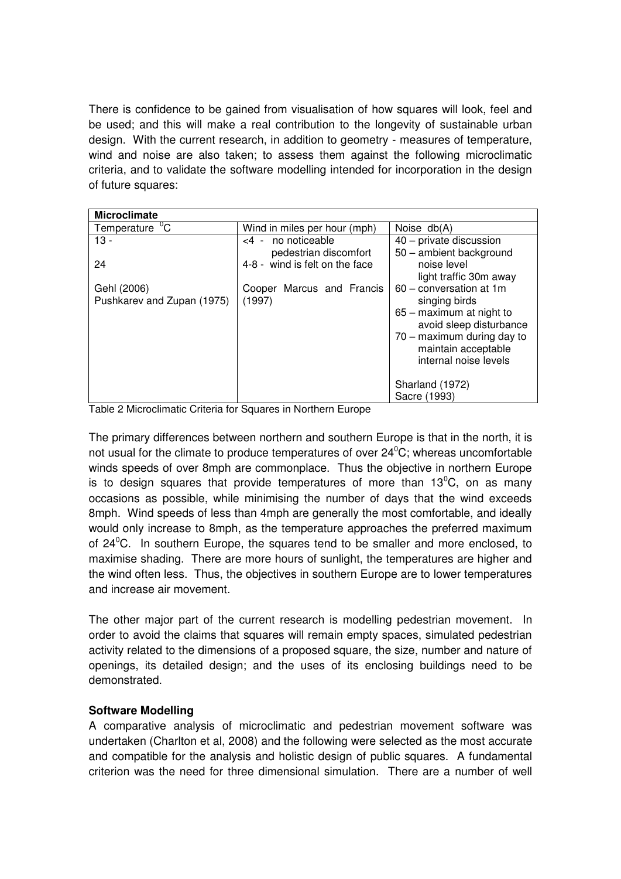There is confidence to be gained from visualisation of how squares will look, feel and be used; and this will make a real contribution to the longevity of sustainable urban design. With the current research, in addition to geometry - measures of temperature, wind and noise are also taken; to assess them against the following microclimatic criteria, and to validate the software modelling intended for incorporation in the design of future squares:

| <b>Microclimate</b>                       |                                                                                  |                                                                                                                                                                                                         |  |  |  |  |  |
|-------------------------------------------|----------------------------------------------------------------------------------|---------------------------------------------------------------------------------------------------------------------------------------------------------------------------------------------------------|--|--|--|--|--|
| $Temperature$ <sup>o</sup> C              | Wind in miles per hour (mph)                                                     | Noise $db(A)$                                                                                                                                                                                           |  |  |  |  |  |
| $13 -$<br>24                              | no noticeable<br>$-4$<br>pedestrian discomfort<br>4-8 - wind is felt on the face | 40 - private discussion<br>50 - ambient background<br>noise level                                                                                                                                       |  |  |  |  |  |
| Gehl (2006)<br>Pushkarev and Zupan (1975) | Cooper Marcus and Francis<br>(1997)                                              | light traffic 30m away<br>60 - conversation at 1m<br>singing birds<br>65 - maximum at night to<br>avoid sleep disturbance<br>70 - maximum during day to<br>maintain acceptable<br>internal noise levels |  |  |  |  |  |
|                                           |                                                                                  | Sharland (1972)<br>Sacre (1993)                                                                                                                                                                         |  |  |  |  |  |

Table 2 Microclimatic Criteria for Squares in Northern Europe

The primary differences between northern and southern Europe is that in the north, it is not usual for the climate to produce temperatures of over  $24^{\circ}$ C; whereas uncomfortable winds speeds of over 8mph are commonplace. Thus the objective in northern Europe is to design squares that provide temperatures of more than  $13^{\circ}$ C, on as many occasions as possible, while minimising the number of days that the wind exceeds 8mph. Wind speeds of less than 4mph are generally the most comfortable, and ideally would only increase to 8mph, as the temperature approaches the preferred maximum of  $24^{\circ}$ C. In southern Europe, the squares tend to be smaller and more enclosed, to maximise shading. There are more hours of sunlight, the temperatures are higher and the wind often less. Thus, the objectives in southern Europe are to lower temperatures and increase air movement.

The other major part of the current research is modelling pedestrian movement. In order to avoid the claims that squares will remain empty spaces, simulated pedestrian activity related to the dimensions of a proposed square, the size, number and nature of openings, its detailed design; and the uses of its enclosing buildings need to be demonstrated.

### **Software Modelling**

A comparative analysis of microclimatic and pedestrian movement software was undertaken (Charlton et al, 2008) and the following were selected as the most accurate and compatible for the analysis and holistic design of public squares. A fundamental criterion was the need for three dimensional simulation. There are a number of well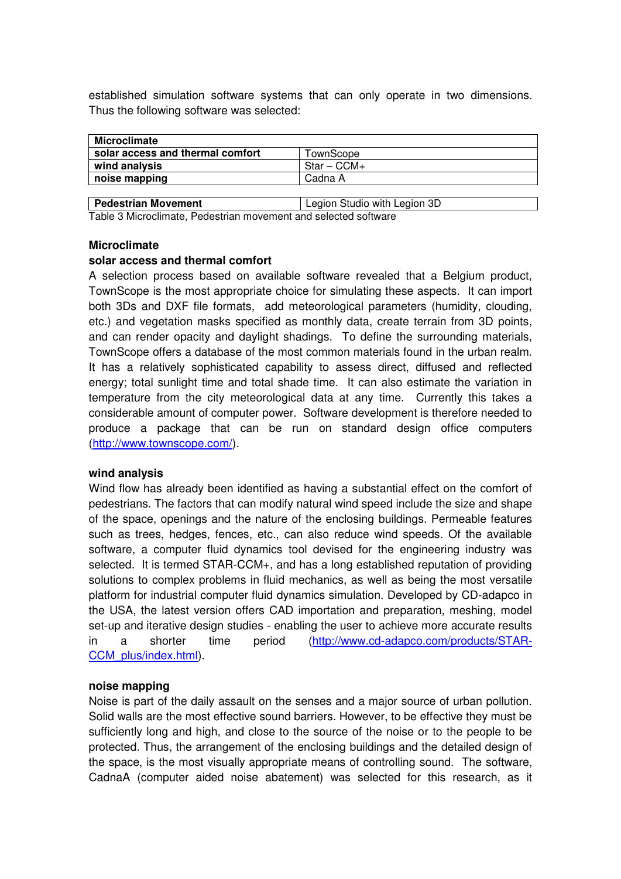established simulation software systems that can only operate in two dimensions. Thus the following software was selected:

| Microclimate                     |                     |  |  |  |
|----------------------------------|---------------------|--|--|--|
| solar access and thermal comfort | TownScope           |  |  |  |
| wind analysis                    | $\cdot$ Star – CCM+ |  |  |  |
| noise mapping                    | Cadna A             |  |  |  |

**Pedestrian Movement Legion Studio with Legion 3D** Table 3 Microclimate, Pedestrian movement and selected software

# **Microclimate**

# **solar access and thermal comfort**

A selection process based on available software revealed that a Belgium product, TownScope is the most appropriate choice for simulating these aspects. It can import both 3Ds and DXF file formats, add meteorological parameters (humidity, clouding, etc.) and vegetation masks specified as monthly data, create terrain from 3D points, and can render opacity and daylight shadings. To define the surrounding materials, TownScope offers a database of the most common materials found in the urban realm. It has a relatively sophisticated capability to assess direct, diffused and reflected energy; total sunlight time and total shade time. It can also estimate the variation in temperature from the city meteorological data at any time. Currently this takes a considerable amount of computer power. Software development is therefore needed to produce a package that can be run on standard design office computers [\(http://www.townscope.com/\)](http://www.townscope.com/).

### **wind analysis**

Wind flow has already been identified as having a substantial effect on the comfort of pedestrians. The factors that can modify natural wind speed include the size and shape of the space, openings and the nature of the enclosing buildings. Permeable features such as trees, hedges, fences, etc., can also reduce wind speeds. Of the available software, a computer fluid dynamics tool devised for the engineering industry was selected. It is termed STAR-CCM+, and has a long established reputation of providing solutions to complex problems in fluid mechanics, as well as being the most versatile platform for industrial computer fluid dynamics simulation. Developed by CD-adapco in the USA, the latest version offers CAD importation and preparation, meshing, model set-up and iterative design studies - enabling the user to achieve more accurate results in a shorter time period [\(http://www.cd-adapco.com/products/STAR-](http://www.cd-adapco.com/products/STAR-CCM_plus/index.html)[CCM\\_plus/index.html\)](http://www.cd-adapco.com/products/STAR-CCM_plus/index.html).

### **noise mapping**

Noise is part of the daily assault on the senses and a major source of urban pollution. Solid walls are the most effective sound barriers. However, to be effective they must be sufficiently long and high, and close to the source of the noise or to the people to be protected. Thus, the arrangement of the enclosing buildings and the detailed design of the space, is the most visually appropriate means of controlling sound. The software, CadnaA (computer aided noise abatement) was selected for this research, as it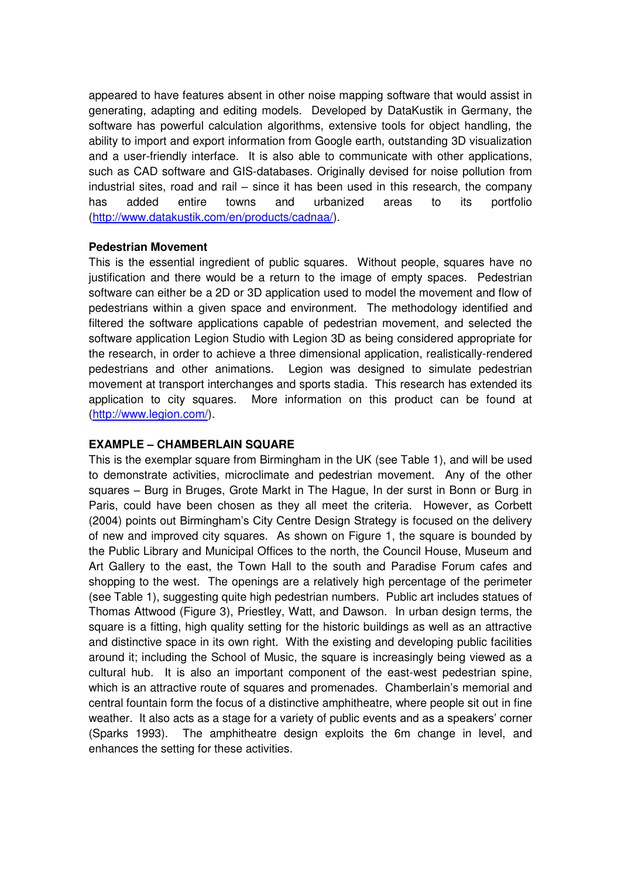appeared to have features absent in other noise mapping software that would assist in generating, adapting and editing models. Developed by DataKustik in Germany, the software has powerful calculation algorithms, extensive tools for object handling, the ability to import and export information from Google earth, outstanding 3D visualization and a user-friendly interface. It is also able to communicate with other applications, such as CAD software and GIS-databases. Originally devised for noise pollution from industrial sites, road and rail – since it has been used in this research, the company has added entire towns and urbanized areas to its portfolio [\(http://www.datakustik.com/en/products/cadnaa/\)](http://www.datakustik.com/en/products/cadnaa/).

### **Pedestrian Movement**

This is the essential ingredient of public squares. Without people, squares have no justification and there would be a return to the image of empty spaces. Pedestrian software can either be a 2D or 3D application used to model the movement and flow of pedestrians within a given space and environment. The methodology identified and filtered the software applications capable of pedestrian movement, and selected the software application Legion Studio with Legion 3D as being considered appropriate for the research, in order to achieve a three dimensional application, realistically-rendered pedestrians and other animations. Legion was designed to simulate pedestrian movement at transport interchanges and sports stadia. This research has extended its application to city squares. More information on this product can be found at [\(http://www.legion.com/\)](http://www.legion.com/).

### **EXAMPLE – CHAMBERLAIN SQUARE**

This is the exemplar square from Birmingham in the UK (see Table 1), and will be used to demonstrate activities, microclimate and pedestrian movement. Any of the other squares – Burg in Bruges, Grote Markt in The Hague, In der surst in Bonn or Burg in Paris, could have been chosen as they all meet the criteria. However, as Corbett (2004) points out Birmingham's City Centre Design Strategy is focused on the delivery of new and improved city squares. As shown on Figure 1, the square is bounded by the Public Library and Municipal Offices to the north, the Council House, Museum and Art Gallery to the east, the Town Hall to the south and Paradise Forum cafes and shopping to the west. The openings are a relatively high percentage of the perimeter (see Table 1), suggesting quite high pedestrian numbers. Public art includes statues of Thomas Attwood (Figure 3), Priestley, Watt, and Dawson. In urban design terms, the square is a fitting, high quality setting for the historic buildings as well as an attractive and distinctive space in its own right. With the existing and developing public facilities around it; including the School of Music, the square is increasingly being viewed as a cultural hub. It is also an important component of the east-west pedestrian spine, which is an attractive route of squares and promenades. Chamberlain's memorial and central fountain form the focus of a distinctive amphitheatre, where people sit out in fine weather. It also acts as a stage for a variety of public events and as a speakers' corner (Sparks 1993). The amphitheatre design exploits the 6m change in level, and enhances the setting for these activities.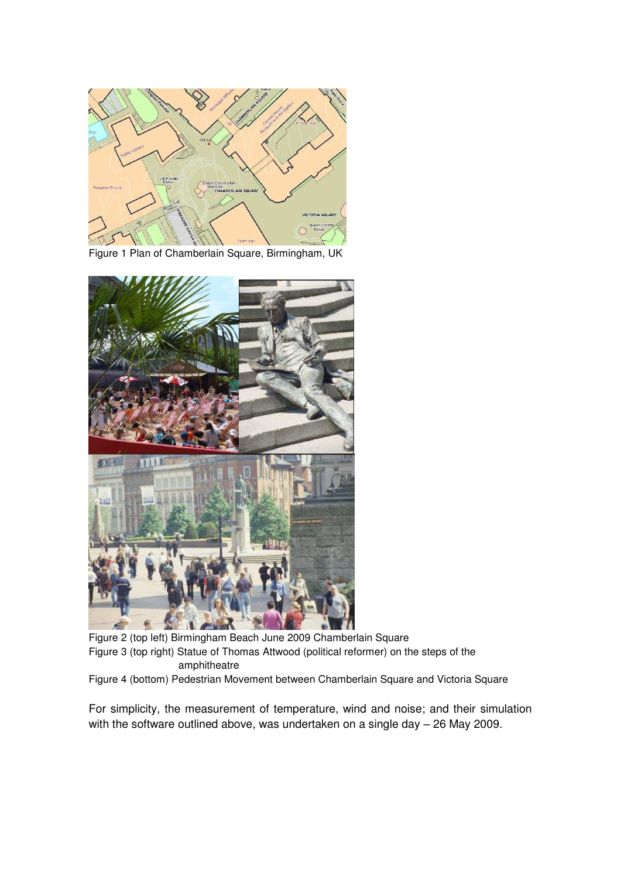

Figure 1 Plan of Chamberlain Square, Birmingham, UK



Figure 2 (top left) Birmingham Beach June 2009 Chamberlain Square Figure 3 (top right) Statue of Thomas Attwood (political reformer) on the steps of the amphitheatre

Figure 4 (bottom) Pedestrian Movement between Chamberlain Square and Victoria Square

For simplicity, the measurement of temperature, wind and noise; and their simulation with the software outlined above, was undertaken on a single day – 26 May 2009.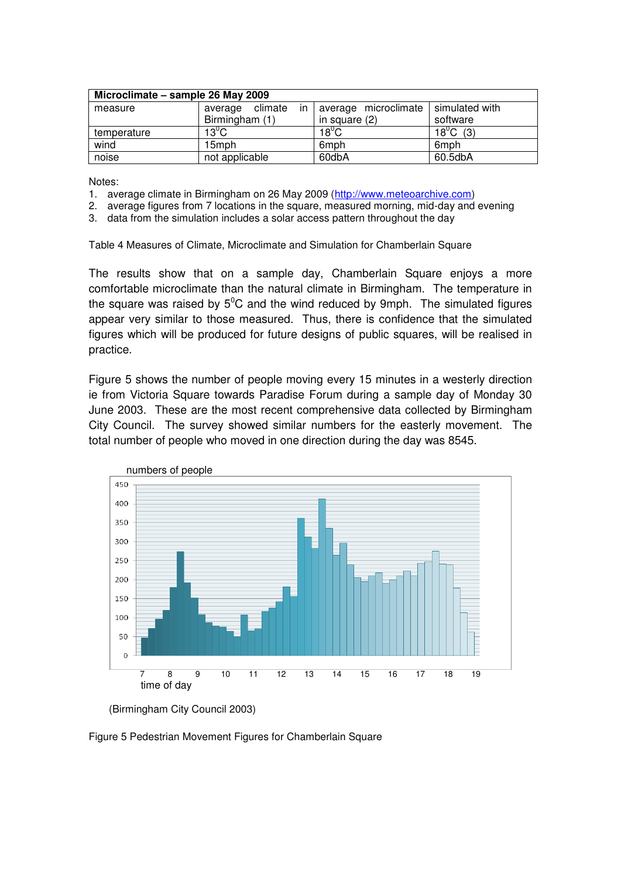| Microclimate - sample 26 May 2009 |                       |                      |                       |  |  |  |  |
|-----------------------------------|-----------------------|----------------------|-----------------------|--|--|--|--|
| measure                           | in<br>average climate | average microclimate | l simulated with      |  |  |  |  |
|                                   | Birmingham (1)        | in square (2)        | software              |  |  |  |  |
| temperature                       | $13^{\circ}$ C        | $18^{\circ}$ C       | 18 <sup>°</sup> C (3) |  |  |  |  |
| wind                              | 15mph                 | 6 <sub>mph</sub>     | 6 <sub>mph</sub>      |  |  |  |  |
| noise                             | not applicable        | 60dbA                | 60.5dbA               |  |  |  |  |

Notes:

- 1. average climate in Birmingham on 26 May 2009 [\(http://www.meteoarchive.com\)](http://www.meteoarchive.com/)
- 2. average figures from 7 locations in the square, measured morning, mid-day and evening
- 3. data from the simulation includes a solar access pattern throughout the day

Table 4 Measures of Climate, Microclimate and Simulation for Chamberlain Square

The results show that on a sample day, Chamberlain Square enjoys a more comfortable microclimate than the natural climate in Birmingham. The temperature in the square was raised by  $5^{\circ}$ C and the wind reduced by 9mph. The simulated figures appear very similar to those measured. Thus, there is confidence that the simulated figures which will be produced for future designs of public squares, will be realised in practice.

Figure 5 shows the number of people moving every 15 minutes in a westerly direction ie from Victoria Square towards Paradise Forum during a sample day of Monday 30 June 2003. These are the most recent comprehensive data collected by Birmingham City Council. The survey showed similar numbers for the easterly movement. The total number of people who moved in one direction during the day was 8545.



 <sup>(</sup>Birmingham City Council 2003)

Figure 5 Pedestrian Movement Figures for Chamberlain Square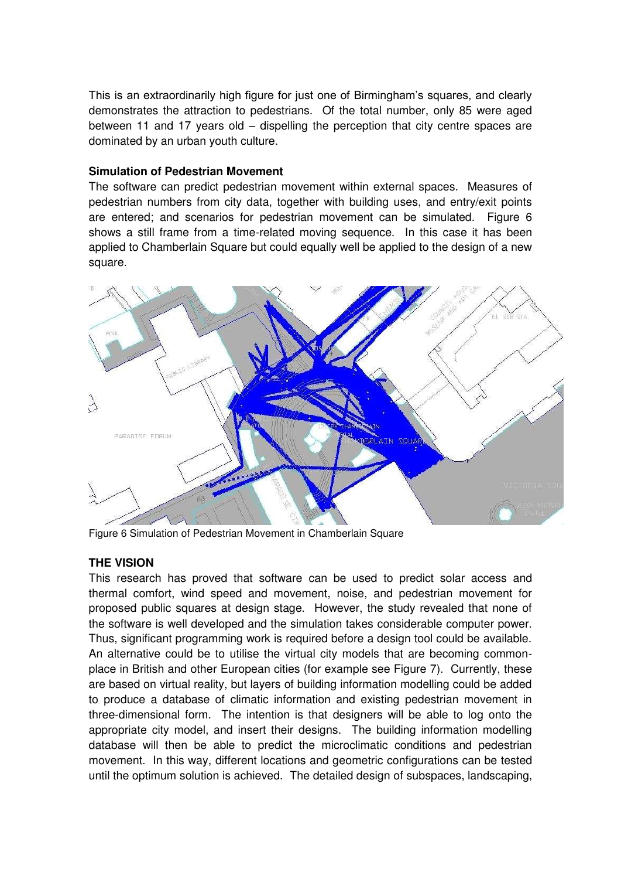This is an extraordinarily high figure for just one of Birmingham's squares, and clearly demonstrates the attraction to pedestrians. Of the total number, only 85 were aged between 11 and 17 years old – dispelling the perception that city centre spaces are dominated by an urban youth culture.

### **Simulation of Pedestrian Movement**

The software can predict pedestrian movement within external spaces. Measures of pedestrian numbers from city data, together with building uses, and entry/exit points are entered; and scenarios for pedestrian movement can be simulated. Figure 6 shows a still frame from a time-related moving sequence. In this case it has been applied to Chamberlain Square but could equally well be applied to the design of a new square.



Figure 6 Simulation of Pedestrian Movement in Chamberlain Square

# **THE VISION**

This research has proved that software can be used to predict solar access and thermal comfort, wind speed and movement, noise, and pedestrian movement for proposed public squares at design stage. However, the study revealed that none of the software is well developed and the simulation takes considerable computer power. Thus, significant programming work is required before a design tool could be available. An alternative could be to utilise the virtual city models that are becoming commonplace in British and other European cities (for example see Figure 7). Currently, these are based on virtual reality, but layers of building information modelling could be added to produce a database of climatic information and existing pedestrian movement in three-dimensional form. The intention is that designers will be able to log onto the appropriate city model, and insert their designs. The building information modelling database will then be able to predict the microclimatic conditions and pedestrian movement. In this way, different locations and geometric configurations can be tested until the optimum solution is achieved. The detailed design of subspaces, landscaping,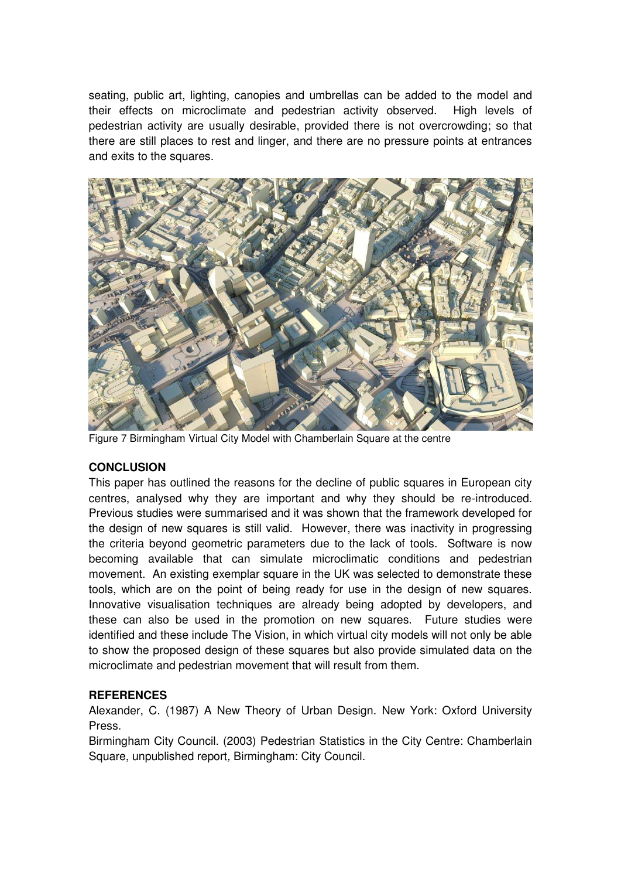seating, public art, lighting, canopies and umbrellas can be added to the model and their effects on microclimate and pedestrian activity observed. High levels of pedestrian activity are usually desirable, provided there is not overcrowding; so that there are still places to rest and linger, and there are no pressure points at entrances and exits to the squares.



Figure 7 Birmingham Virtual City Model with Chamberlain Square at the centre

### **CONCLUSION**

This paper has outlined the reasons for the decline of public squares in European city centres, analysed why they are important and why they should be re-introduced. Previous studies were summarised and it was shown that the framework developed for the design of new squares is still valid. However, there was inactivity in progressing the criteria beyond geometric parameters due to the lack of tools. Software is now becoming available that can simulate microclimatic conditions and pedestrian movement. An existing exemplar square in the UK was selected to demonstrate these tools, which are on the point of being ready for use in the design of new squares. Innovative visualisation techniques are already being adopted by developers, and these can also be used in the promotion on new squares. Future studies were identified and these include The Vision, in which virtual city models will not only be able to show the proposed design of these squares but also provide simulated data on the microclimate and pedestrian movement that will result from them.

### **REFERENCES**

Alexander, C. (1987) A New Theory of Urban Design. New York: Oxford University Press.

Birmingham City Council. (2003) Pedestrian Statistics in the City Centre: Chamberlain Square, unpublished report*,* Birmingham: City Council.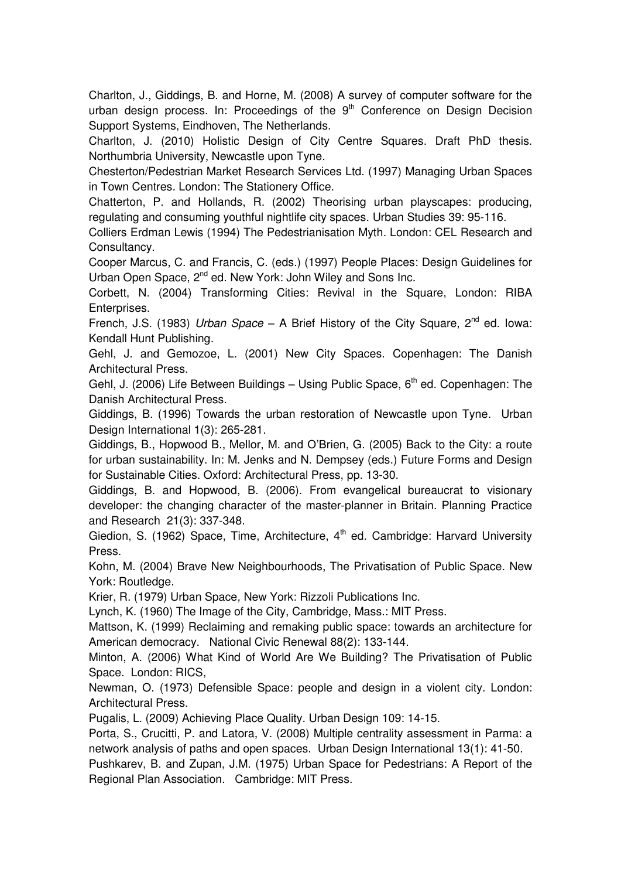Charlton, J., Giddings, B. and Horne, M. (2008) A survey of computer software for the urban design process. In: Proceedings of the 9<sup>th</sup> Conference on Design Decision Support Systems, Eindhoven, The Netherlands.

Charlton, J. (2010) Holistic Design of City Centre Squares. Draft PhD thesis. Northumbria University, Newcastle upon Tyne.

Chesterton/Pedestrian Market Research Services Ltd. (1997) Managing Urban Spaces in Town Centres*.* London: The Stationery Office.

Chatterton, P. and Hollands, R. (2002) Theorising urban playscapes: producing, regulating and consuming youthful nightlife city spaces. Urban Studies 39: 95-116.

Colliers Erdman Lewis (1994) The Pedestrianisation Myth*.* London: CEL Research and Consultancy.

Cooper Marcus, C. and Francis, C. (eds.) (1997) People Places: Design Guidelines for Urban Open Space, 2<sup>nd</sup> ed. New York: John Wiley and Sons Inc.

Corbett, N. (2004) Transforming Cities: Revival in the Square, London: RIBA Enterprises.

French, J.S. (1983) *Urban Space* – A Brief History of the City Square, 2<sup>nd</sup> ed. Iowa: Kendall Hunt Publishing.

Gehl, J. and Gemozoe, L. (2001) New City Spaces. Copenhagen: The Danish Architectural Press.

Gehl, J. (2006) Life Between Buildings - Using Public Space,  $6<sup>th</sup>$  ed. Copenhagen: The Danish Architectural Press.

Giddings, B. (1996) Towards the urban restoration of Newcastle upon Tyne. Urban Design International 1(3): 265-281.

Giddings, B., Hopwood B., Mellor, M. and O'Brien, G. (2005) Back to the City: a route for urban sustainability. In: M. Jenks and N. Dempsey (eds.) Future Forms and Design for Sustainable Cities. Oxford: Architectural Press, pp. 13-30.

Giddings, B. and Hopwood, B. (2006). From evangelical bureaucrat to visionary developer: the changing character of the master-planner in Britain. Planning Practice and Research 21(3): 337-348.

Giedion, S. (1962) Space, Time, Architecture,  $4<sup>th</sup>$  ed. Cambridge: Harvard University Press.

Kohn, M. (2004) Brave New Neighbourhoods, The Privatisation of Public Space. New York: Routledge.

Krier, R. (1979) Urban Space*,* New York: Rizzoli Publications Inc.

Lynch, K. (1960) The Image of the City, Cambridge, Mass.: MIT Press.

Mattson, K. (1999) Reclaiming and remaking public space: towards an architecture for American democracy. National Civic Renewal 88(2): 133-144.

Minton, A. (2006) What Kind of World Are We Building? The Privatisation of Public Space. London: RICS,

Newman, O. (1973) Defensible Space: people and design in a violent city. London: Architectural Press.

Pugalis, L. (2009) Achieving Place Quality. Urban Design 109: 14-15.

Porta, S., Crucitti, P. and Latora, V. (2008) Multiple centrality assessment in Parma: a network analysis of paths and open spaces. Urban Design International 13(1): 41-50.

Pushkarev, B. and Zupan, J.M. (1975) Urban Space for Pedestrians: A Report of the Regional Plan Association. Cambridge: MIT Press.